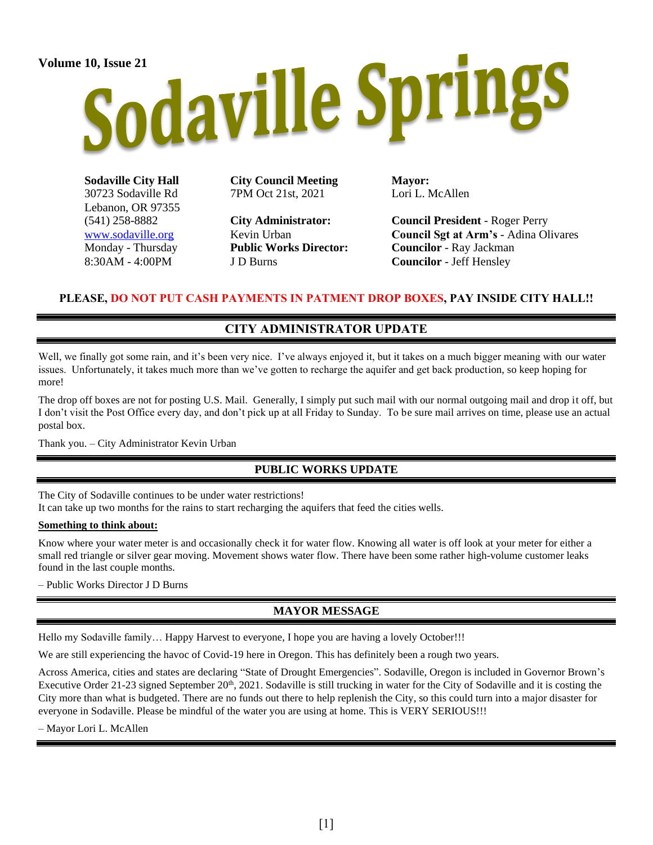# Volume 10, Issue 21<br>Sodaville Springs

**Sodaville City Hall** 30723 Sodaville Rd Lebanon, OR 97355 (541) 258-8882 [www.sodaville.org](http://www.sodaville.org/) Monday - Thursday 8:30AM - 4:00PM

**City Council Meeting** 7PM Oct 21st, 2021

**City Administrator:** Kevin Urban **Public Works Director:** J D Burns

**Mayor:** Lori L. McAllen

**Council President** - Roger Perry **Council Sgt at Arm's** - Adina Olivares **Councilor** - Ray Jackman **Councilor** - Jeff Hensley

### **PLEASE, DO NOT PUT CASH PAYMENTS IN PATMENT DROP BOXES, PAY INSIDE CITY HALL!!**

# **CITY ADMINISTRATOR UPDATE**

Well, we finally got some rain, and it's been very nice. I've always enjoyed it, but it takes on a much bigger meaning with our water issues. Unfortunately, it takes much more than we've gotten to recharge the aquifer and get back production, so keep hoping for more!

The drop off boxes are not for posting U.S. Mail. Generally, I simply put such mail with our normal outgoing mail and drop it off, but I don't visit the Post Office every day, and don't pick up at all Friday to Sunday. To be sure mail arrives on time, please use an actual postal box.

Thank you. – City Administrator Kevin Urban

# **PUBLIC WORKS UPDATE**

The City of Sodaville continues to be under water restrictions! It can take up two months for the rains to start recharging the aquifers that feed the cities wells.

#### **Something to think about:**

Know where your water meter is and occasionally check it for water flow. Knowing all water is off look at your meter for either a small red triangle or silver gear moving. Movement shows water flow. There have been some rather high-volume customer leaks found in the last couple months.

– Public Works Director J D Burns

# **MAYOR MESSAGE**

Hello my Sodaville family… Happy Harvest to everyone, I hope you are having a lovely October!!!

We are still experiencing the havoc of Covid-19 here in Oregon. This has definitely been a rough two years.

Across America, cities and states are declaring "State of Drought Emergencies". Sodaville, Oregon is included in Governor Brown's Executive Order 21-23 signed September  $20<sup>th</sup>$ , 2021. Sodaville is still trucking in water for the City of Sodaville and it is costing the City more than what is budgeted. There are no funds out there to help replenish the City, so this could turn into a major disaster for everyone in Sodaville. Please be mindful of the water you are using at home. This is VERY SERIOUS!!!

– Mayor Lori L. McAllen